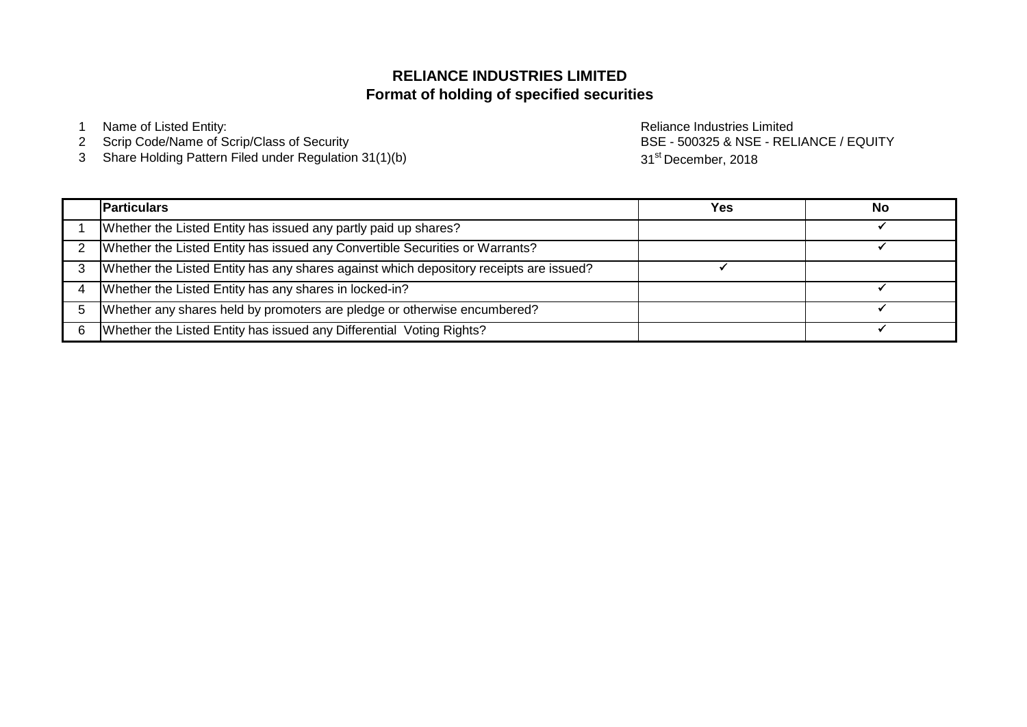# **Format of holding of specified securities RELIANCE INDUSTRIES LIMITED**

1 Name of Listed Entity: **Name of Listed Entity:** And The Control of Listed Entity: **Reliance Industries Limited** 

- 2 Scrip Code/Name of Scrip/Class of Security
- 3 Share Holding Pattern Filed under Regulation 31(1)(b)

BSE - 500325 & NSE - RELIANCE / EQUITY 31<sup>st</sup> December, 2018

| <b>Particulars</b>                                                                     | <b>Yes</b> | No |
|----------------------------------------------------------------------------------------|------------|----|
| Whether the Listed Entity has issued any partly paid up shares?                        |            |    |
| Whether the Listed Entity has issued any Convertible Securities or Warrants?           |            |    |
| Whether the Listed Entity has any shares against which depository receipts are issued? |            |    |
| Whether the Listed Entity has any shares in locked-in?                                 |            |    |
| Whether any shares held by promoters are pledge or otherwise encumbered?               |            |    |
| Whether the Listed Entity has issued any Differential Voting Rights?                   |            |    |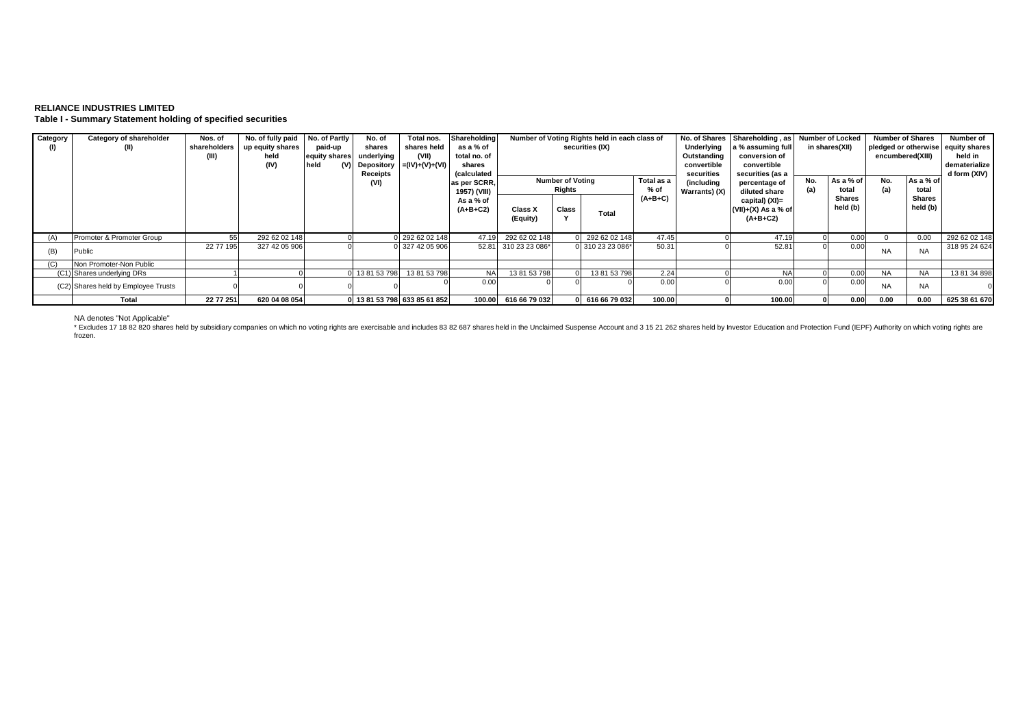## **RELIANCE INDUSTRIES LIMITED Table I - Summary Statement holding of specified securities**

| Category | Category of shareholder<br>(II)     | Nos. of<br>shareholders<br>(III) | No. of fully paid<br>up equity shares<br>held<br>(IV) | No. of Partly<br>paid-up<br>equity shares underlying<br>held | No. of<br>shares<br>(V) Depository<br>Receipts | Total nos.<br>shares held<br>(VII)<br>$=(IV)+(V)+(V)$ | Shareholding<br>as a % of<br>total no. of<br>shares<br>(calculated |                                                         |       | Number of Voting Rights held in each class of<br>securities (IX) |                             | Underlying<br>Outstanding<br>convertible<br>securities | No. of Shares Shareholding, as<br>a % assuming full<br>conversion of<br>convertible<br>securities (as a | <b>Number of Locked</b><br>in shares(XII) |                    | <b>Number of Shares</b><br>pledged or otherwise equity shares<br>encumbered(XIII) |                           | Number of<br>held in<br>dematerialize<br>d form (XIV) |
|----------|-------------------------------------|----------------------------------|-------------------------------------------------------|--------------------------------------------------------------|------------------------------------------------|-------------------------------------------------------|--------------------------------------------------------------------|---------------------------------------------------------|-------|------------------------------------------------------------------|-----------------------------|--------------------------------------------------------|---------------------------------------------------------------------------------------------------------|-------------------------------------------|--------------------|-----------------------------------------------------------------------------------|---------------------------|-------------------------------------------------------|
|          |                                     |                                  |                                                       |                                                              | (VI)                                           |                                                       | as per SCRR<br>1957) (VIII)                                        | <b>Number of Voting</b><br>Total as a<br>Rights<br>% of |       |                                                                  | (including<br>Warrants) (X) | percentage of<br>diluted share                         | No.                                                                                                     | As a % of<br>total                        | No.<br>(a)         | As a % of<br>total                                                                |                           |                                                       |
|          |                                     |                                  |                                                       |                                                              |                                                |                                                       | As a % of<br>$(A+B+C2)$                                            | Class X<br>(Equity)                                     | Class | Total                                                            | $(A+B+C)$                   |                                                        | capital) (XI)=<br>$(VII)+(X)$ As a % of<br>$(A+B+C2)$                                                   |                                           | Shares<br>held (b) |                                                                                   | <b>Shares</b><br>held (b) |                                                       |
| (A)      | Promoter & Promoter Group           | 55                               | 292 62 02 148                                         |                                                              |                                                | 0 292 62 02 148                                       | 47.19                                                              | 292 62 02 148                                           |       | 292 62 02 148                                                    | 47.45                       |                                                        | 47.19                                                                                                   |                                           | 0.00               |                                                                                   | 0.00                      | 292 62 02 148                                         |
| (B)      | Public                              | 22 77 195                        | 327 42 05 906                                         |                                                              |                                                | 0 327 42 05 906                                       |                                                                    | 52.81 310 23 23 086*                                    |       | 0 310 23 23 086*                                                 | 50.31                       |                                                        | 52.81                                                                                                   |                                           | 0.00               | <b>NA</b>                                                                         | <b>NA</b>                 | 318 95 24 624                                         |
|          | Non Promoter-Non Public             |                                  |                                                       |                                                              |                                                |                                                       |                                                                    |                                                         |       |                                                                  |                             |                                                        |                                                                                                         |                                           |                    |                                                                                   |                           |                                                       |
|          | (C1) Shares underlying DRs          |                                  |                                                       |                                                              | 0 13 81 53 798                                 | 138153798                                             | <b>NA</b>                                                          | 13 81 53 798                                            |       | 13 81 53 798                                                     | 2.24                        |                                                        | <b>NA</b>                                                                                               |                                           | 0.00               | <b>NA</b>                                                                         | <b>NA</b>                 | 13 81 34 898                                          |
|          | (C2) Shares held by Employee Trusts |                                  |                                                       |                                                              |                                                |                                                       | 0.00                                                               |                                                         |       |                                                                  | 0.00                        |                                                        | 0.00                                                                                                    |                                           | 0.00               | <b>NA</b>                                                                         | <b>NA</b>                 |                                                       |
|          | Total                               | 22 77 251                        | 620 04 08 054                                         |                                                              |                                                | 0 13 81 53 798 633 85 61 852                          |                                                                    | 100.00 616 66 79 032                                    |       | 0 616 66 79 032                                                  | 100.00                      |                                                        | 100.00                                                                                                  |                                           | 0.00               | 0.00                                                                              | 0.00                      | 625 38 61 670                                         |

NA denotes "Not Applicable"<br>\* Excludes 17 18 82 820 shares held by subsidiary companies on which no voting rights are exercisable and includes 83 82 687 shares held in the Unclaimed Suspense Account and 3 15 21 262 shares frozen.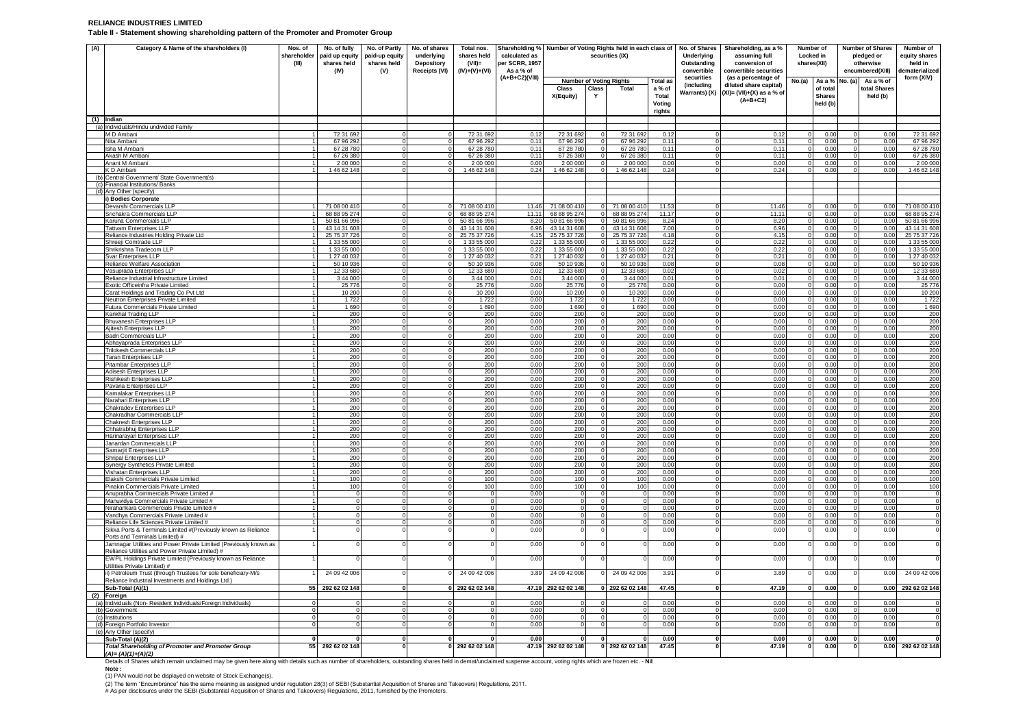#### **RELIANCE INDUSTRIES LIMITED Table II - Statement showing shareholding pattern of the Promoter and Promoter Group**

| (A) | Category & Name of the shareholders (I)                                                                              | Nos. of<br>shareholder<br>(III) | No. of fully<br>paid up equity<br>shares held<br>(IV) | No. of Partly<br>paid-up equity<br>shares held<br>(V) | No. of shares<br>underlying<br>Depository<br><b>Receipts (VI)</b> | Total nos.<br>shares held<br>$(VII)$ =<br>$(IV)+(V)+(VI)$ | Shareholding % Number of Voting Rights held in each class of<br>calculated as<br>per SCRR, 1957<br>As a % of |                                 |                                  | securities (IX)            |                 | No. of Shares<br>Underlying<br>Outstanding<br>convertible | Shareholding, as a %<br>assuming full<br>conversion of<br>convertible securities | Locked in              | Number of<br>shares(XII)  | <b>Number of Shares</b><br>pledged or<br>otherwise<br>encumbered(XIII) |              | Number of<br>equity shares<br>held in<br>dematerialized |
|-----|----------------------------------------------------------------------------------------------------------------------|---------------------------------|-------------------------------------------------------|-------------------------------------------------------|-------------------------------------------------------------------|-----------------------------------------------------------|--------------------------------------------------------------------------------------------------------------|---------------------------------|----------------------------------|----------------------------|-----------------|-----------------------------------------------------------|----------------------------------------------------------------------------------|------------------------|---------------------------|------------------------------------------------------------------------|--------------|---------------------------------------------------------|
|     |                                                                                                                      |                                 |                                                       |                                                       |                                                                   |                                                           | $(A+B+C2)(VIII)$                                                                                             | Number of Voting Rights         |                                  |                            | <b>Total as</b> | securities                                                | (as a percentage of                                                              | No.(a)                 | As a % No. (a)            | As a % of                                                              |              | form (XIV)                                              |
|     |                                                                                                                      |                                 |                                                       |                                                       |                                                                   |                                                           |                                                                                                              | <b>Class</b>                    | Class                            | Total                      | a % of          | (including                                                | diluted share capital)                                                           |                        | of total                  | total Shares                                                           |              |                                                         |
|     |                                                                                                                      |                                 |                                                       |                                                       |                                                                   |                                                           |                                                                                                              | X(Equity)                       | Y                                |                            | Total<br>Voting | Warrants) (X)                                             | $(XI) = (VII)+(X)$ as a % of<br>$(A+B+C2)$                                       |                        | <b>Shares</b><br>held (b) | held (b)                                                               |              |                                                         |
|     | $(1)$ Indian                                                                                                         |                                 |                                                       |                                                       |                                                                   |                                                           |                                                                                                              |                                 |                                  |                            | rights          |                                                           |                                                                                  |                        |                           |                                                                        |              |                                                         |
|     | (a) Individuals/Hindu undivided Family                                                                               |                                 |                                                       |                                                       |                                                                   |                                                           |                                                                                                              |                                 |                                  |                            |                 |                                                           |                                                                                  |                        |                           |                                                                        |              |                                                         |
|     | M D Ambani                                                                                                           |                                 | 72 31 692                                             | $\circ$                                               |                                                                   | 72 31 692                                                 | 0.12                                                                                                         | 72 31 692                       | $\Omega$                         | 72 31 692                  | 0.12            | $\Omega$                                                  | 0.12                                                                             | $\Omega$               | 0.00                      | $\Omega$                                                               | 0.00         | 72 31 692                                               |
|     | Nita Ambani                                                                                                          |                                 | 67 96 292                                             | $\mathbf 0$                                           |                                                                   | 67 96 292                                                 | 0.11                                                                                                         | 67 96 292                       |                                  | 67 96 292                  | 0.11            | $\mathbf 0$                                               | 0.11                                                                             |                        | 0.00                      | $\Omega$                                                               | 0.00         | 67 96 292                                               |
|     | Isha M Ambani                                                                                                        |                                 | 67 28 780                                             | $\Omega$<br>$\Omega$                                  |                                                                   | 67 28 780                                                 | 0.11                                                                                                         | 67 28 780                       | $^{\circ}$                       | 67 28 780                  | 0.11            | $\mathbf{0}$                                              | 0.11                                                                             | - 0                    | 0.00                      | $\overline{0}$                                                         | 0.00         | 67 28 78                                                |
|     | Akash M Ambani<br>Anant M Ambani                                                                                     |                                 | 67 26 380<br>2 00 000                                 | $\mathbf 0$                                           |                                                                   | 67 26 380<br>2 00 000                                     | 0.11<br>0.00                                                                                                 | 67 26 380<br>2 00 000           | $^{\circ}$<br>$\Omega$           | 67 26 380<br>2 00 000      | 0.11<br>0.00    | $\mathbf 0$<br>$\overline{0}$                             | 0.11<br>0.00                                                                     |                        | 0.00<br>0.00              | $\Omega$                                                               | 0.00<br>0.00 | 67 26 38<br>2 00 00                                     |
|     | K D Ambani                                                                                                           |                                 | 1 46 62 148                                           | $\Omega$                                              |                                                                   | 1 46 62 148                                               | 0.24                                                                                                         | 146 62 148                      |                                  | 1 46 62 148                | 0.24            | $\Omega$                                                  | 0.24                                                                             |                        | 0.00                      |                                                                        | 0.00         | 1 46 62 148                                             |
|     | (b) Central Government/ State Government(s)                                                                          |                                 |                                                       |                                                       |                                                                   |                                                           |                                                                                                              |                                 |                                  |                            |                 |                                                           |                                                                                  |                        |                           |                                                                        |              |                                                         |
|     | (c) Financial Institutions/ Banks                                                                                    |                                 |                                                       |                                                       |                                                                   |                                                           |                                                                                                              |                                 |                                  |                            |                 |                                                           |                                                                                  |                        |                           |                                                                        |              |                                                         |
|     | (d) Any Other (specify)                                                                                              |                                 |                                                       |                                                       |                                                                   |                                                           |                                                                                                              |                                 |                                  |                            |                 |                                                           |                                                                                  |                        |                           |                                                                        |              |                                                         |
|     | i) Bodies Corporate<br>Devarshi Commercials LLP                                                                      |                                 | 71 08 00 410                                          | $\Omega$                                              |                                                                   | 71 08 00 410                                              | 11.46                                                                                                        | 71 08 00 410                    | $\mathbf 0$                      | 71 08 00 410               | 11.53           | $\mathbf 0$                                               | 11.46                                                                            |                        | 0.00                      | $^{\circ}$                                                             | 0.00         | 71 08 00 41                                             |
|     | Srichakra Commercials LLP                                                                                            |                                 | 68 88 95 274                                          | $^{\circ}$                                            |                                                                   | 68 88 95 274                                              | 11.11                                                                                                        | 68 88 95 274                    | $\mathbf 0$                      | 68 88 95 274               | 11.17           | $\overline{0}$                                            | $11.1^{\circ}$                                                                   | -C                     | 0.00                      | $\overline{0}$                                                         | 0.00         | 68 88 95 27                                             |
|     | Karuna Commercials LLP                                                                                               |                                 | 50 81 66 996                                          | $\mathbf 0$                                           | $\Omega$                                                          | 50 81 66 996                                              | 8.20                                                                                                         | 50 81 66 996                    | $\circ$                          | 50 81 66 996               | 8.24            | $\mathbf 0$                                               | 8.20                                                                             | $\Omega$               | 0.00                      | $\circ$                                                                | 0.00         | 50 81 66 996                                            |
|     | <b>Tattvam Enterprises LLP</b>                                                                                       |                                 | 43 14 31 608                                          | ō                                                     | $\Omega$                                                          | 43 14 31 608                                              | 6.96                                                                                                         | 43 14 31 608                    | $\overline{0}$                   | 43 14 31 608               | 7.00            | $\Omega$                                                  | 6.96                                                                             | $\Omega$               | 0.00                      | $\overline{0}$                                                         | 0.00         | 43 14 31 608                                            |
|     | Reliance Industries Holding Private Ltd                                                                              |                                 | 25 75 37 726                                          | $\mathbf 0$                                           | $\Omega$                                                          | 25 75 37 726                                              | 4.15                                                                                                         | 25 75 37 726                    | $\overline{0}$                   | 25 75 37 726               | 4.18            | $\mathbf 0$                                               | 4.15                                                                             | $^{\circ}$             | 0.00                      | $\mathbf{0}$                                                           | 0.00         | 25 75 37 72                                             |
|     | Shreeji Comtrade LLP                                                                                                 |                                 | 1 33 55 000                                           | $\Omega$                                              | $\Omega$                                                          | 1 33 55 000                                               | 0.22                                                                                                         | 1 33 55 000                     | $\mathbf 0$                      | 1 33 55 000                | 0.22            | $\Omega$                                                  | 0.22                                                                             | -0                     | 0.00                      | $\mathbf{0}$                                                           | 0.00         | 1 33 55 00                                              |
|     | Shrikrishna Tradecom LL<br>Svar Enterprises LLP                                                                      |                                 | 1 33 55 000<br>1 27 40 032                            | $\mathbf 0$<br>$\mathbf 0$                            | $\Omega$                                                          | 1 33 55 000<br>1 27 40 032                                | 0.22<br>0.21                                                                                                 | 1 33 55 000<br>1 27 40 032      | $\overline{0}$<br>$\overline{0}$ | 1 33 55 000<br>1 27 40 032 | 0.22<br>0.21    | $\mathbf 0$<br>$\mathbf{0}$                               | 0.22<br>0.21                                                                     | $\Omega$               | 0.00<br>0.00              | $^{\circ}$<br>$\overline{0}$                                           | 0.00<br>0.00 | 1 33 55 00<br>1 27 40 03                                |
|     | Reliance Welfare Association                                                                                         |                                 | 50 10 936                                             | $^{\circ}$                                            |                                                                   | 50 10 936                                                 | 0.08                                                                                                         | 50 10 936                       | $^{\circ}$                       | 50 10 936                  | 0.08            | $\overline{0}$                                            | 0.08                                                                             |                        | 0.00                      | $^{\circ}$                                                             | 0.00         | 50 10 936                                               |
|     | Vasuprada Enterprises LLP                                                                                            |                                 | 12 33 680                                             | $\Omega$                                              |                                                                   | 12 33 680                                                 | 0.02                                                                                                         | 12 33 680                       | -0                               | 12 33 680                  | 0.02            | $\Omega$                                                  | 0.02                                                                             |                        | 0.00                      | 0                                                                      | 0.00         | 12 33 68                                                |
|     | Reliance Industrial Infrastructure Limited                                                                           |                                 | 3 44 000                                              | $\mathbf 0$                                           |                                                                   | 3 44 000                                                  | 0.01                                                                                                         | 3 44 000                        |                                  | 3 44 000                   | 0.01            | $\mathbf 0$                                               | 0.01                                                                             |                        | 0.00                      | $\mathbf 0$                                                            | 0.00         | 3 44 000                                                |
|     | Exotic Officeinfra Private Limited                                                                                   |                                 | 25 776                                                | $\Omega$                                              |                                                                   | 25776                                                     | 0.00                                                                                                         | 25 7 7 6                        | $\Omega$                         | 25 776                     | 0.00            | $\mathbf 0$                                               | 0.00                                                                             |                        | 0.00                      | $\overline{0}$                                                         | 0.00         | 25 776                                                  |
|     | Carat Holdings and Trading Co Pvt Ltd                                                                                |                                 | 10 200<br>1722                                        | $\circ$<br>$\Omega$                                   | $\Omega$<br>$\Omega$                                              | 10 200<br>1722                                            | 0.00<br>0.00                                                                                                 | 10 200<br>1722                  | $\circ$                          | 10 200<br>1722             | 0.00<br>0.00    | $\mathbf 0$<br>$\Omega$                                   | 0.00<br>0.00                                                                     | $\Omega$<br>$\Omega$   | 0.00<br>0.00              | $\overline{0}$                                                         | 0.00<br>0.00 | 10 20<br>1722                                           |
|     | Neutron Enterprises Private Limited<br>Futura Commercials Private Limited                                            |                                 | 1 690                                                 | $\mathbf 0$                                           | $^{\circ}$                                                        | 1690                                                      | 0.00                                                                                                         | 1 6 9 0                         | $\mathbf{0}$<br>$\mathbf 0$      | 1 6 9 0                    | 0.00            | $\mathbf 0$                                               | 0.00                                                                             | $^{\circ}$             | 0.00                      | $\overline{0}$<br>$\mathbf 0$                                          | 0.00         | 1 690                                                   |
|     | Kankhal Trading LLP                                                                                                  |                                 | 200                                                   | $\overline{0}$                                        | $\Omega$                                                          | 200                                                       | 0.00                                                                                                         | 200                             | $\overline{0}$                   | 200                        | 0.00            | ō                                                         | 0.00                                                                             | $\Omega$               | 0.00                      | $\overline{0}$                                                         | 0.00         | 200                                                     |
|     | <b>Bhuvanesh Enterprises LLP</b>                                                                                     |                                 | 200                                                   | $\mathbf 0$                                           |                                                                   | 200                                                       | 0.00                                                                                                         | 200                             | $\mathbf 0$                      | 200                        | 0.00            | $\mathbf 0$                                               | 0.00                                                                             | $\Omega$               | 0.00                      | $\mathbf{0}$                                                           | 0.00         | 200                                                     |
|     | Ajitesh Enterprises LLP                                                                                              |                                 | 200                                                   | $^{\circ}$                                            |                                                                   | 200                                                       | 0.00                                                                                                         | 200                             | $\mathbf 0$                      | 200                        | 0.00            | $\overline{0}$                                            | 0.00                                                                             | -0                     | 0.00                      | $\overline{0}$                                                         | 0.00         | 200                                                     |
|     | Badri Commercials LLP                                                                                                |                                 | 200                                                   | $\mathbf 0$                                           | $\Omega$                                                          | 200                                                       | 0.00                                                                                                         | 200                             | $\circ$                          | 200                        | 0.00            | $\mathbf 0$                                               | 0.00                                                                             | $\Omega$               | 0.00                      | $\circ$                                                                | 0.00         | 200                                                     |
|     | Abhayaprada Enterprises LLP                                                                                          |                                 | 200                                                   | ō<br>$\overline{0}$                                   | $\Omega$                                                          | 200                                                       | 0.00                                                                                                         | 200                             | $\overline{0}$<br>$^{\circ}$     | 200                        | 0.00            | ō<br>$\mathbf 0$                                          | 0.00                                                                             | $\Omega$<br>$^{\circ}$ | 0.00                      | $\overline{0}$<br>$\mathbf{0}$                                         | 0.00         | 200<br>200                                              |
|     | Trilokesh Commercials LLP<br>Taran Enterprises LLP                                                                   |                                 | 200<br>200                                            | $\overline{0}$                                        |                                                                   | 200<br>200                                                | 0.00<br>0.00                                                                                                 | 200<br>200                      | $^{\circ}$                       | 200<br>200                 | 0.00<br>0.00    | $\mathbf 0$                                               | 0.00<br>0.00                                                                     | 0                      | 0.00<br>0.00              | $\overline{0}$                                                         | 0.00<br>0.00 | 200                                                     |
|     | <b>Pitambar Enterprises LLF</b>                                                                                      |                                 | 200                                                   | $\mathbf 0$                                           |                                                                   | 200                                                       | 0.00                                                                                                         | 200                             | $\Omega$                         | 200                        | 0.00            | $\mathbf 0$                                               | 0.00                                                                             | $\Omega$               | 0.00                      | $\mathbf 0$                                                            | 0.00         | 200                                                     |
|     | Adisesh Enterprises LLP                                                                                              |                                 | 200                                                   | $\Omega$                                              |                                                                   | 200                                                       | 0.00                                                                                                         | 200                             | $\Omega$                         | 200                        | 0.00            | $\mathbf{0}$                                              | 0.00                                                                             |                        | 0.00                      | $\overline{0}$                                                         | 0.00         | 200                                                     |
|     | Rishikesh Enterprises LLP                                                                                            |                                 | 200                                                   | $^{\circ}$                                            |                                                                   | 200                                                       | 0.00                                                                                                         | 200                             | $\mathbf 0$                      | 200                        | 0.00            | $\mathbf 0$                                               | 0.00                                                                             |                        | 0.00                      | $\mathbf{0}$                                                           | 0.00         | 200                                                     |
|     | Pavana Enterprises LLP                                                                                               |                                 | 200                                                   | $\Omega$                                              |                                                                   | 200                                                       | 0.00                                                                                                         | 200                             | $\mathbf{0}$<br>$\mathbf 0$      | 200                        | 0.00            | $\Omega$                                                  | 0.00                                                                             |                        | 0.00                      | $\mathbf{0}$                                                           | 0.00         | 200                                                     |
|     | Kamalakar Enterprises LLP<br>Narahari Enterprises LLP                                                                |                                 | 200<br>200                                            | $\mathbf 0$<br>$\overline{0}$                         |                                                                   | 200<br>200                                                | 0.00<br>0.00                                                                                                 | 200<br>200                      | $\overline{0}$                   | 200<br>200                 | 0.00<br>0.00    | $\mathbf 0$<br>$\mathbf 0$                                | 0.00<br>0.00                                                                     |                        | 0.00<br>0.00              | $^{\circ}$<br>$\overline{0}$                                           | 0.00<br>0.00 | 200<br>200                                              |
|     | Chakradev Enterprises LLP                                                                                            |                                 | 200                                                   | $\circ$                                               | $\Omega$                                                          | 200                                                       | 0.00                                                                                                         | 200                             | $\circ$                          | 200                        | 0.00            | $\mathbf 0$                                               | 0.00                                                                             | $\Omega$               | 0.00                      | $\overline{0}$                                                         | 0.00         | 200                                                     |
|     | Chakradhar Commercials LLP                                                                                           |                                 | 200                                                   | $\Omega$                                              |                                                                   | 200                                                       | 0.00                                                                                                         | 200                             | $^{\circ}$                       | 200                        | 0.00            | $\mathbf 0$                                               | 0.00                                                                             | $\Omega$               | 0.00                      | $\overline{0}$                                                         | 0.00         | 200                                                     |
|     | Chakresh Enterprises LLP                                                                                             |                                 | 200                                                   | $\mathbf 0$                                           | $\Omega$                                                          | 200                                                       | 0.00                                                                                                         | 200                             | $^{\circ}$                       | 200                        | 0.00            | $\mathbf 0$                                               | 0.00                                                                             | $^{\circ}$             | 0.00                      | $\mathbf 0$                                                            | 0.00         | 200                                                     |
|     | Chhatrabhuj Enterprises LLP                                                                                          |                                 | 200                                                   | $\overline{0}$                                        | $\Omega$                                                          | 200                                                       | 0.00                                                                                                         | 200                             | $\overline{0}$                   | 200                        | 0.00            | ō                                                         | 0.00                                                                             | $\Omega$               | 0.00                      | $\overline{0}$                                                         | 0.00         | 200                                                     |
|     | Harinarayan Enterprises LLP                                                                                          |                                 | 200                                                   | $^{\circ}$<br>$\Omega$                                |                                                                   | 200                                                       | 0.00                                                                                                         | 200                             | $\mathbf{O}$                     | 200                        | 0.00            | $\mathbf 0$                                               | 0.00                                                                             |                        | 0.00                      | $\mathbf{0}$                                                           | 0.00         | 200                                                     |
|     | Janardan Commercials LLP<br>Samarjit Enterprises LLP                                                                 |                                 | 200<br>200                                            | $\mathbf 0$                                           | $^{\circ}$                                                        | 200<br>200                                                | 0.00<br>0.00                                                                                                 | 200<br>200                      | 0<br>$\mathbf 0$                 | 200<br>200                 | 0.00<br>0.00    | $\overline{0}$<br>$\mathbf 0$                             | 0.00<br>0.00                                                                     | -0<br>$^{\circ}$       | 0.00<br>0.00              | $\overline{0}$<br>$\overline{0}$                                       | 0.00<br>0.00 | 200<br>200                                              |
|     | Shripal Enterprises LLP                                                                                              |                                 | 200                                                   | ō                                                     |                                                                   | 200                                                       | 0.00                                                                                                         | 200                             | $\overline{0}$                   | 200                        | 0.00            | ō                                                         | 0.00                                                                             | $\Omega$               | 0.00                      | $\overline{0}$                                                         | 0.00         | 200                                                     |
|     | Synergy Synthetics Private Limited                                                                                   |                                 | 200                                                   | $\mathbf 0$                                           |                                                                   | 200                                                       | 0.00                                                                                                         | 200                             | $^{\circ}$                       | 200                        | 0.00            | $\mathbf 0$                                               | 0.00                                                                             | $^{\circ}$             | 0.00                      | $\mathbf{0}$                                                           | 0.00         | 200                                                     |
|     | Vishatan Enterprises LLP                                                                                             |                                 | 200                                                   | $^{\circ}$                                            |                                                                   | 200                                                       | 0.00                                                                                                         | 200                             | $^{\circ}$                       | 200                        | 0.00            | $\overline{0}$                                            | 0.00                                                                             |                        | 0.00                      | 0                                                                      | 0.00         | 200                                                     |
|     | Elakshi Commercials Private Limited                                                                                  |                                 | 100                                                   | $\Omega$                                              |                                                                   | 100                                                       | 0.00                                                                                                         | 100                             | $\Omega$                         | 100                        | 0.00            | $\mathbf 0$                                               | 0.00                                                                             | $\Omega$               | 0.00                      | $\mathbf 0$                                                            | 0.00         | 100                                                     |
|     | Pinakin Commercials Private Limited                                                                                  |                                 | 100                                                   | $\Omega$<br>$^{\circ}$                                |                                                                   | 100<br>$^{\circ}$                                         | 0.00                                                                                                         | 100                             | $\Omega$<br>$^{\circ}$           | 100                        | 0.00            | $\mathbf{0}$                                              | 0.00                                                                             |                        | 0.00                      | $\overline{0}$<br>$^{\circ}$                                           | 0.00         | 100                                                     |
|     | Anuprabha Commercials Private Limited #<br>Manuvidya Commercials Private Limited #                                   |                                 | $\Omega$                                              | $\Omega$                                              |                                                                   | $\Omega$                                                  | 0.00<br>0.00                                                                                                 | $\mathbf{0}$<br>$\Omega$        | $^{\circ}$                       |                            | 0.00<br>0.00    | $\mathbf 0$<br>$\Omega$                                   | 0.00<br>0.00                                                                     |                        | 0.00<br>0.00              | $\mathbf{0}$                                                           | 0.00<br>0.00 |                                                         |
|     | Nirahankara Commercials Private Limited #                                                                            |                                 | $\Omega$                                              | $\mathbf 0$                                           | $\Omega$                                                          | $\Omega$                                                  | 0.00                                                                                                         | $\mathbf 0$                     | $^{\circ}$                       |                            | 0.00            | $\mathbf 0$                                               | 0.00                                                                             |                        | 0.00                      | $^{\circ}$                                                             | 0.00         |                                                         |
|     | Vandhya Commercials Private Limited #                                                                                |                                 | $\Omega$                                              | $\Omega$                                              |                                                                   | $\Omega$                                                  | 0.00                                                                                                         | $\Omega$                        | $\circ$                          |                            | 0.00            | $\mathbf 0$                                               | 0.00                                                                             |                        | 0.00                      | $\overline{0}$                                                         | 0.00         |                                                         |
|     | Reliance Life Sciences Private Limited #                                                                             |                                 | $\Omega$                                              | $\mathbf 0$                                           | $\Omega$                                                          | $\mathbf 0$                                               | 0.00                                                                                                         | $\circ$                         | $\circ$                          |                            | 0.00            | $\mathbf 0$                                               | 0.00                                                                             | $\Omega$               | 0.00                      | 0                                                                      | 0.00         |                                                         |
|     | Sikka Ports & Terminals Limited #(Previously known as Reliance<br>Ports and Terminals Limited) #                     |                                 |                                                       | $\Omega$                                              |                                                                   | $\Omega$                                                  | 0.00                                                                                                         | $\Omega$                        | $\Omega$                         |                            | 0.00            | $\Omega$                                                  | 0.00                                                                             |                        | 0.00                      | $\Omega$                                                               | 0.00         |                                                         |
|     | Jamnagar Utilities and Power Private Limited (Previously known as<br>Reliance Utilities and Power Private Limited) # |                                 | $\Omega$                                              | $\Omega$                                              |                                                                   | $^{\circ}$                                                | 0.00                                                                                                         | $\mathbf 0$                     | $^{\circ}$                       |                            | 0.00            | $\circ$                                                   | 0.00                                                                             | $\Omega$               | 0.00                      | $\mathbf{0}$                                                           | 0.00         |                                                         |
|     | EWPL Holdings Private Limited (Previously known as Reliance                                                          |                                 |                                                       | $\Omega$                                              |                                                                   | $^{\circ}$                                                | 0.00                                                                                                         | $\Omega$                        | $\Omega$                         |                            | 0.00            | $\Omega$                                                  | 0.00                                                                             |                        | 0.00                      | $\Omega$                                                               | 0.00         |                                                         |
|     | Jtilities Private Limited) #<br>ii) Petroleum Trust (through Trustees for sole beneficiary-M/s                       |                                 | 24 09 42 006                                          | $\Omega$                                              | $\Omega$                                                          | 24 09 42 006                                              | 3.89                                                                                                         | 24 09 42 006                    | $\Omega$                         | 24 09 42 006               | 3.91            | $\Omega$                                                  | 3.89                                                                             | - 0                    | 0.00                      | $\Omega$                                                               | 0.00         | 24 09 42 006                                            |
|     | Reliance Industrial Investments and Holdings Ltd.)<br>Sub-Total (A)(1)                                               |                                 | 55 292 62 02 148                                      | $\mathbf 0$                                           |                                                                   | 0 292 62 02 148                                           |                                                                                                              | 47.19 292 62 02 148             |                                  | 0 292 62 02 148            | 47.45           | 0                                                         | 47.19                                                                            | $\mathbf 0$            | 0.00                      | $\mathbf{0}$                                                           |              | 0.00 292 62 02 148                                      |
|     | (2) Foreign<br>(a) Individuals (Non-Resident Individuals/Foreign Individuals)                                        |                                 |                                                       | $\Omega$                                              |                                                                   |                                                           | 0.00                                                                                                         | $\Omega$                        |                                  |                            | 0.00            | $\mathbf 0$                                               | 0.00                                                                             |                        | 0.00                      | $\Omega$                                                               | 0.00         |                                                         |
|     | (b) Government                                                                                                       |                                 | $\Omega$                                              | $\mathbf 0$                                           |                                                                   | $\Omega$                                                  | 0.00                                                                                                         | $\Omega$                        | $\Omega$                         |                            | 0.00            | $\mathbf 0$                                               | 0.00                                                                             | $\Omega$               | 0.00                      | $\Omega$                                                               | 0.00         |                                                         |
|     | (c) Institutions                                                                                                     |                                 | - 0                                                   | $\Omega$                                              |                                                                   | $\mathbf{0}$                                              | 0.00                                                                                                         | $\Omega$                        | $\Omega$                         |                            | 0.00            | $\mathbf 0$                                               | 0.00                                                                             |                        | 0.00                      | $\overline{0}$                                                         | 0.00         |                                                         |
|     | (d) Foreign Portfolio Investor                                                                                       |                                 | $\Omega$                                              | $\Omega$                                              | $\Omega$                                                          | $\Omega$                                                  | 0.00                                                                                                         | $\Omega$                        | $\Omega$                         |                            | 0.00            | $\Omega$                                                  | 0.00                                                                             | $\Omega$               | 0.00                      | $\circ$                                                                | 0.00         |                                                         |
|     | (e) Any Other (specify)                                                                                              |                                 |                                                       |                                                       |                                                                   |                                                           |                                                                                                              |                                 |                                  |                            |                 |                                                           |                                                                                  |                        |                           |                                                                        |              |                                                         |
|     | Sub-Total (A)(2)<br><b>Total Shareholding of Promoter and Promoter Group</b><br>$\Delta = (\Delta)(1) + (\Delta)(2)$ | $\Omega$<br>55                  | $\Omega$<br>292 62 02 148                             | $\mathbf 0$<br>$\bf{0}$                               | $\mathbf{0}$                                                      | 0<br>0 292 62 02 148                                      | 0.00                                                                                                         | $\Omega$<br>47.19 292 62 02 148 | $\mathbf 0$                      | 0 292 62 02 148            | 0.00<br>47.45   | 0 <br>$\mathbf 0$                                         | 0.00<br>47.19                                                                    | $\mathbf 0$<br>0       | 0.00<br>0.00              | $\mathbf{0}$<br>$\mathbf{0}$                                           | 0.00<br>0.00 | 292 62 02 148                                           |

Details of Shares which remain unclaimed may be given here along with details such as number of shareholders, outstanding shares held in demat/unclaimed suspense account, voting rights which are frozen etc. - **Nil**

**Note :** 

(1) PAN would not be displayed on website of Stock Exchange(s). (2) The term "Encumbrance" has the same meaning as assigned under regulation 28(3) of SEBI (Substantial Acquisition of Shares and Takeovers) Regulations, 2011.

# As per disclosures under the SEBI (Substantial Acquisition of Shares and Takeovers) Regulations, 2011, furnished by the Promoters.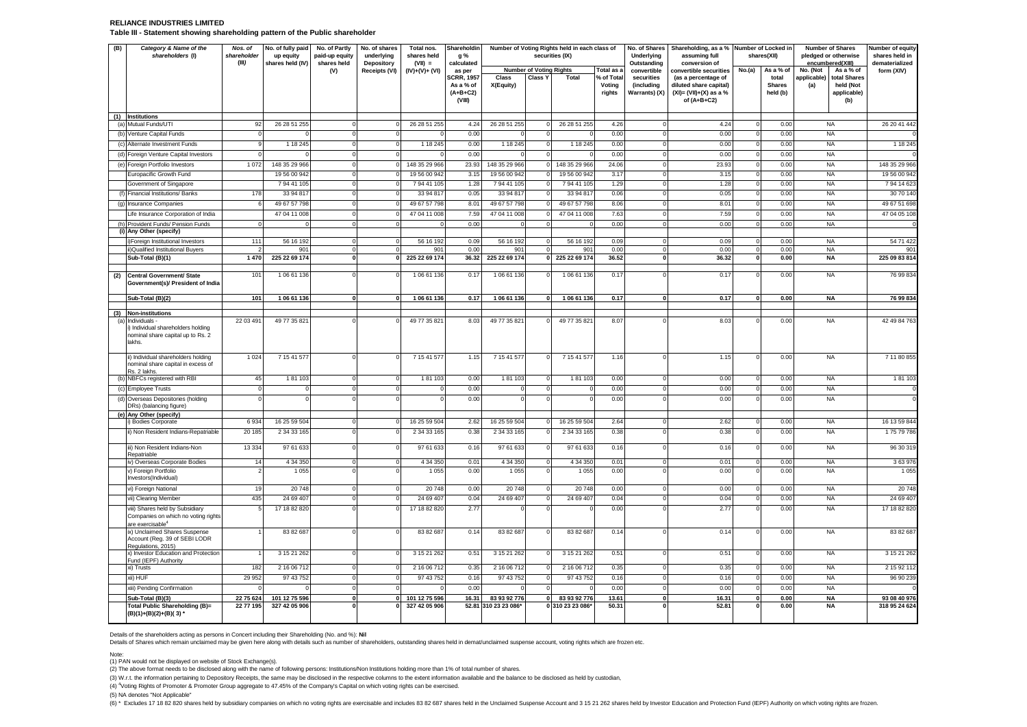#### **RELIANCE INDUSTRIES LIMITED Table III - Statement showing shareholding pattern of the Public shareholder**

| (B) | Category & Name of the<br>shareholders (I)                                                             | Nos. of<br>shareholder<br>(III) | No. of fully paid<br>up equity<br>shares held (IV) | No. of Partly<br>paid-up equity<br>shares held | No. of shares<br>underlying<br>Depository | Total nos.<br>shares held<br>$(VII) =$ | Shareholdin<br>g %<br>calculated                       | Number of Voting Rights held in each class of<br>securities (IX) |                                |                           |                                | No. of Shares<br>Underlying<br>Outstanding | Shareholding, as a % Number of Locked in<br>assuming full<br>conversion of                  |                         | shares(XII)                        |                    | <b>Number of Shares</b><br>pledged or otherwise<br>encumbered(XIII) | Number of equity<br>shares held in<br>dematerialized |
|-----|--------------------------------------------------------------------------------------------------------|---------------------------------|----------------------------------------------------|------------------------------------------------|-------------------------------------------|----------------------------------------|--------------------------------------------------------|------------------------------------------------------------------|--------------------------------|---------------------------|--------------------------------|--------------------------------------------|---------------------------------------------------------------------------------------------|-------------------------|------------------------------------|--------------------|---------------------------------------------------------------------|------------------------------------------------------|
|     |                                                                                                        |                                 |                                                    | (V)                                            | Receipts (VI)                             | $(IV)+(V)+(V)$                         | as per                                                 |                                                                  | <b>Number of Voting Rights</b> |                           | Total as a                     | convertible                                | convertible securities                                                                      | No.(a)                  | As a % of                          | No. (Not           | As a % of                                                           | form (XIV)                                           |
|     |                                                                                                        |                                 |                                                    |                                                |                                           |                                        | <b>SCRR. 1957</b><br>As a % of<br>$(A+B+C2)$<br>(VIII) | Class<br>X(Equity)                                               | Class Y                        | Total                     | % of Total<br>Voting<br>rights | securities<br>(including<br>Warrants) (X)  | (as a percentage of<br>diluted share capital)<br>$(XI) = (VII)+(X)$ as a %<br>of $(A+B+C2)$ |                         | total<br><b>Shares</b><br>held (b) | applicable)<br>(a) | total Shares<br>held (Not<br>applicable)<br>(b)                     |                                                      |
|     | (1) Institutions<br>(a) Mutual Funds/UTI                                                               | 92                              | 26 28 51 255                                       | $\Omega$                                       | $\mathbf 0$                               | 26 28 51 255                           | 4.24                                                   | 26 28 51 255                                                     | $\mathbf 0$                    | 26 28 51 255              | 4.26                           | $\Omega$                                   | 4.24                                                                                        | $\Omega$                | 0.00                               |                    | <b>NA</b>                                                           | 26 20 41 442                                         |
|     | (b) Venture Capital Funds                                                                              | $\mathbf 0$                     | $\Omega$                                           | $\mathbf 0$                                    | $\mathbf 0$                               |                                        | 0.00                                                   | $\Omega$                                                         | $\mathsf 0$                    | $\Omega$                  | 0.00                           | $\Omega$                                   | 0.00                                                                                        | $\overline{0}$          | 0.00                               |                    | <b>NA</b>                                                           |                                                      |
|     | (c) Alternate Investment Funds                                                                         | 9                               | 1 18 2 45                                          | $\overline{0}$                                 | $\overline{0}$                            | 1 18 245                               | 0.00                                                   | 1 18 245                                                         | $\overline{0}$                 | 1 18 245                  | 0.00                           | $\Omega$                                   | 0.00                                                                                        | $\overline{0}$          | 0.00                               |                    | <b>NA</b>                                                           | 1 18 245                                             |
|     | (d) Foreign Venture Capital Investors                                                                  | $\Omega$                        |                                                    | $\Omega$                                       | $\mathbf 0$                               |                                        | 0.00                                                   | $\Omega$                                                         | $\Omega$                       |                           | 0.00                           | $\Omega$                                   | 0.00                                                                                        | $\Omega$                | 0.00                               |                    | <b>NA</b>                                                           |                                                      |
|     | (e) Foreign Portfolio Investors                                                                        | 1072                            | 148 35 29 966                                      | $\Omega$                                       | $\mathbf 0$                               | 148 35 29 966                          | 23.93                                                  | 148 35 29 966                                                    | $\Omega$                       | 148 35 29 966             | 24.06                          | $\Omega$                                   | 23.93                                                                                       |                         | 0.00                               |                    | <b>NA</b>                                                           | 148 35 29 966                                        |
|     | Europacific Growth Fund                                                                                |                                 | 19 56 00 942                                       | $\mathbf 0$                                    | $\mathbf 0$                               | 19 56 00 942                           | 3.15                                                   | 19 56 00 942                                                     | $\mathbf 0$                    | 19 56 00 942              | 3.17                           | $\Omega$                                   | 3.15                                                                                        | $\Omega$                | 0.00                               |                    | <b>NA</b>                                                           | 19 56 00 94                                          |
|     | Government of Singapore                                                                                |                                 | 7 94 41 105                                        | $\mathbf 0$<br>$\Omega$                        | $\overline{0}$                            | 79441105                               | 1.28                                                   | 79441105                                                         | $\mathsf 0$                    | 7 94 41 105               | 1.29                           | $\Omega$                                   | 1.28                                                                                        | 0                       | 0.00                               |                    | <b>NA</b>                                                           | 7 94 14 62                                           |
|     | (f) Financial Institutions/ Banks                                                                      | 178<br>6                        | 33 94 817<br>49 67 57 798                          | $\Omega$                                       | $\mathbf 0$<br>$\mathbf 0$                | 33 94 817<br>49 67 57 798              | 0.05                                                   | 33 94 817<br>49 67 57 798                                        | $\Omega$                       | 33 94 817<br>49 67 57 798 | 0.06<br>8.06                   | $\Omega$<br>$\Omega$                       | 0.05                                                                                        | $\Omega$                | 0.00                               |                    | <b>NA</b><br><b>NA</b>                                              | 30 70 140<br>49 67 51 698                            |
|     | (g) Insurance Companies                                                                                |                                 | 47 04 11 008                                       | $\Omega$                                       | $\mathbf 0$                               | 47 04 11 008                           | 8.01<br>7.59                                           | 47 04 11 008                                                     | 0<br>$\Omega$                  | 47 04 11 008              | 7.63                           | $\Omega$                                   | 8.01<br>7.59                                                                                | $\mathbf 0$<br>$\Omega$ | 0.00<br>0.00                       |                    | <b>NA</b>                                                           | 47 04 05 108                                         |
|     | Life Insurance Corporation of India<br>(h) Provident Funds/ Pension Funds                              | $\mathbf{O}$                    | $\Omega$                                           | $^{\circ}$                                     | $\mathbf 0$                               |                                        | 0.00                                                   | $\Omega$                                                         | $^{\circ}$                     |                           | 0.00                           | $\Omega$                                   | 0.00                                                                                        | $\Omega$                | 0.00                               |                    | <b>NA</b>                                                           |                                                      |
|     | (i) Any Other (specify)                                                                                |                                 |                                                    |                                                |                                           |                                        |                                                        |                                                                  |                                |                           |                                |                                            |                                                                                             |                         |                                    |                    |                                                                     |                                                      |
|     | i)Foreign Institutional Investors                                                                      | 111                             | 56 16 192                                          | $\mathbf 0$                                    | $\circ$                                   | 56 16 192                              | 0.09                                                   | 56 16 192                                                        | $\mathsf 0$                    | 56 16 192                 | 0.09                           | $\circ$                                    | 0.09                                                                                        | $\Omega$                | 0.00                               |                    | <b>NA</b>                                                           | 54 71 422                                            |
|     | i)Qualified Institutional Buyers                                                                       |                                 | 901                                                | $\mathbf 0$                                    | $\mathbf 0$                               | 901                                    | 0.00                                                   | 901                                                              | 0                              | 901                       | 0.00                           | $^{\circ}$                                 | 0.00                                                                                        | 0                       | 0.00                               |                    | NA                                                                  | 90                                                   |
|     | Sub-Total (B)(1)                                                                                       | 1 470                           | 225 22 69 174                                      | $\mathbf{0}$                                   | 0                                         | 225 22 69 174                          | 36.32                                                  | 225 22 69 174                                                    | $\Omega$                       | 225 22 69 174             | 36.52                          | $\mathbf{0}$                               | 36.32                                                                                       | 0                       | 0.00                               |                    | <b>NA</b>                                                           | 225 09 83 814                                        |
| (2) | <b>Central Government/ State</b><br>Government(s)/ President of India                                  | 101                             | 1 06 61 136                                        |                                                | $\Omega$                                  | 106 61 136                             | 0.17                                                   | 1 06 61 136                                                      | $\Omega$                       | 1 06 61 136               | 0.17                           |                                            | 0.17                                                                                        |                         | 0.00                               |                    | <b>NA</b>                                                           | 76 99 834                                            |
|     | Sub-Total (B)(2)                                                                                       | 101                             | 1 06 61 136                                        | $\mathbf 0$                                    | $\overline{0}$                            | 106 61 136                             | 0.17                                                   | 1 06 61 136                                                      | $\Omega$                       | 1 06 61 136               | 0.17                           | $\mathbf{0}$                               | 0.17                                                                                        | $\Omega$                | 0.00                               |                    | <b>NA</b>                                                           | 76 99 834                                            |
|     | (3) Non-institutions                                                                                   |                                 |                                                    |                                                |                                           |                                        |                                                        |                                                                  |                                |                           |                                |                                            |                                                                                             |                         |                                    |                    |                                                                     |                                                      |
|     | (a) Individuals<br>i) Individual shareholders holding<br>nominal share capital up to Rs. 2<br>lakhs.   | 22 03 491                       | 49 77 35 821                                       | $\Omega$                                       | $\Omega$                                  | 49 77 35 821                           | 8.03                                                   | 49 77 35 821                                                     | $\Omega$                       | 49 77 35 821              | 8.07                           | C                                          | 8.03                                                                                        | $\Omega$                | 0.00                               |                    | NA                                                                  | 42 49 84 763                                         |
|     | ii) Individual shareholders holding<br>nominal share capital in excess of<br>Rs. 2 lakhs.              | 1 0 2 4                         | 7 15 41 577                                        | $\Omega$                                       | $\mathbf 0$                               | 7 15 41 577                            | 1.15                                                   | 7 15 41 577                                                      | $\mathbf 0$                    | 7 15 41 577               | 1.16                           |                                            | 1.15                                                                                        | $\Omega$                | 0.00                               |                    | <b>NA</b>                                                           | 7 11 80 855                                          |
|     | (b) NBFCs registered with RBI                                                                          | 45                              | 181103                                             | $\mathbf 0$                                    | $\mathbf 0$                               | 181103                                 | 0.00                                                   | 181103                                                           | $\overline{0}$                 | 181103                    | 0.00                           | $^{\circ}$                                 | 0.00                                                                                        | $\Omega$                | 0.00                               |                    | <b>NA</b>                                                           | 181103                                               |
|     | (c) Employee Trusts                                                                                    | $\Omega$                        | $^{\circ}$                                         | $^{\circ}$                                     | $\overline{0}$                            | $\epsilon$                             | 0.00                                                   | $\mathbf 0$                                                      | 0                              | O                         | 0.00                           | $\Omega$                                   | 0.00                                                                                        | $\Omega$                | 0.00                               |                    | <b>NA</b>                                                           |                                                      |
|     | (d) Overseas Depositories (holding<br>DRs) (balancing figure)                                          | $\Omega$                        | $\Omega$                                           | $\Omega$                                       | $\mathbf 0$                               | $\mathbf{C}$                           | 0.00                                                   | $\circ$                                                          | $\Omega$                       | $\Omega$                  | 0.00                           |                                            | 0.00                                                                                        | $\Omega$                | 0.00                               |                    | <b>NA</b>                                                           |                                                      |
|     | (e) Any Other (specify)<br>) Bodies Corporate                                                          | 6934                            | 16 25 59 504                                       | $\mathbf 0$                                    | $\mathbf 0$                               | 16 25 59 504                           | 2.62                                                   | 16 25 59 504                                                     | $\mathbf 0$                    | 16 25 59 504              | 2.64                           | $\Omega$                                   | 2.62                                                                                        | $^{\circ}$              | 0.00                               |                    | <b>NA</b>                                                           | 16 13 59 844                                         |
|     | ii) Non Resident Indians-Repatriable                                                                   | 20 185                          | 2 34 33 165                                        | $\Omega$                                       | $\Omega$                                  | 2 34 33 165                            | 0.38                                                   | 2 34 33 165                                                      | $\Omega$                       | 2 34 33 165               | 0.38                           |                                            | 0.38                                                                                        | $\Omega$                | 0.00                               |                    | <b>NA</b>                                                           | 17579786                                             |
|     |                                                                                                        |                                 |                                                    |                                                |                                           |                                        |                                                        |                                                                  |                                |                           |                                |                                            |                                                                                             |                         |                                    |                    |                                                                     |                                                      |
|     | iii) Non Resident Indians-Non<br>Repatriable                                                           | 13 3 34                         | 97 61 633                                          | $\Omega$                                       | $\Omega$                                  | 97 61 633                              | 0.16                                                   | 97 61 633                                                        | $\Omega$                       | 97 61 633                 | 0.16                           |                                            | 0.16                                                                                        | $\Omega$                | 0.00                               |                    | <b>NA</b>                                                           | 96 30 319                                            |
|     | iv) Overseas Corporate Bodies                                                                          | 14                              | 4 34 350                                           | $\mathbf 0$                                    | $\mathbf{0}$                              | 4 34 350                               | 0.01                                                   | 4 34 350                                                         | $\circ$                        | 4 34 350                  | 0.01                           | $\mathbf 0$                                | 0.01                                                                                        | $\Omega$                | 0.00                               |                    | <b>NA</b>                                                           | 363976                                               |
|     | v) Foreign Portfolio<br>Investors(Individual)                                                          |                                 | 1 0 5 5                                            | $\Omega$                                       | $\Omega$                                  | 1 0 5 5                                | 0.00                                                   | 1 0 5 5                                                          | $\Omega$                       | 1 0 5 5                   | 0.00                           |                                            | 0.00                                                                                        | $\Omega$                | 0.00                               |                    | <b>NA</b>                                                           | 1 0 5 5                                              |
|     | vi) Foreign National                                                                                   | 19                              | 20748                                              | $\Omega$                                       | $\overline{0}$                            | 20748                                  | 0.00                                                   | 20748                                                            | $\overline{0}$                 | 20748                     | 0.00                           | $\Omega$                                   | 0.00                                                                                        | $\Omega$                | 0.00                               |                    | <b>NA</b>                                                           | 20748                                                |
|     | vii) Clearing Member                                                                                   | 435                             | 24 69 407                                          | $\mathbf 0$                                    | $\mathbf 0$                               | 24 69 407                              | 0.04                                                   | 24 69 407                                                        | $\overline{0}$                 | 24 69 407                 | 0.04                           | $\Omega$                                   | 0.04                                                                                        | $\Omega$                | 0.00                               |                    | <b>NA</b>                                                           | 24 69 407                                            |
|     | viii) Shares held by Subsidiary<br>Companies on which no voting rights<br>are exercisable <sup>4</sup> | 5                               | 17 18 82 820                                       | $\Omega$                                       | $\mathbf 0$                               | 17 18 82 820                           | 2.77                                                   | $\Omega$                                                         | 0                              |                           | 0.00                           |                                            | 2.77                                                                                        |                         | 0.00                               |                    | <b>NA</b>                                                           | 17 18 82 820                                         |
|     | ix) Unclaimed Shares Suspense<br>Account (Reg. 39 of SEBI LODR<br>Regulations, 2015)                   |                                 | 83 82 687                                          | $\Omega$                                       | $\Omega$                                  | 83 82 687                              | 0.14                                                   | 83 82 687                                                        | $\mathbf 0$                    | 83 82 687                 | 0.14                           | $\Omega$                                   | 0.14                                                                                        | $\Omega$                | 0.00                               |                    | <b>NA</b>                                                           | 83 82 687                                            |
|     | x) Investor Education and Protection<br>Fund (IEPF) Authority                                          |                                 | 3 15 21 262                                        | $\mathbf 0$                                    | $\mathbf 0$                               | 3 15 21 262                            | 0.51                                                   | 3 15 21 262                                                      | $\mathbf 0$                    | 3 15 21 262               | 0.51                           | $\mathbf 0$                                | 0.51                                                                                        | $^{\circ}$              | 0.00                               |                    | <b>NA</b>                                                           | 3 15 21 262                                          |
|     | xi) Trusts                                                                                             | 182                             | 2 16 06 712                                        | $\Omega$                                       | $\mathbf 0$                               | 2 16 06 712                            | 0.35                                                   | 2 16 06 712                                                      | $\Omega$                       | 2 16 06 712               | 0.35                           | $\Omega$                                   | 0.35                                                                                        | $\Omega$                | 0.00                               |                    | <b>NA</b>                                                           | 2 15 92 11                                           |
|     | xii) HUF                                                                                               | 29 9 52                         | 97 43 752                                          | $\Omega$                                       | $\mathsf 0$                               | 97 43 752                              | 0.16                                                   | 97 43 752                                                        | $\overline{0}$                 | 97 43 752                 | 0.16                           | $\Omega$                                   | 0.16                                                                                        | $\Omega$                | 0.00                               |                    | <b>NA</b>                                                           | 96 90 239                                            |
|     | xiii) Pending Confirmation                                                                             | $\Omega$                        | $\Omega$                                           | $\mathbf 0$                                    | $\mathbf 0$                               |                                        | 0.00                                                   | $\Omega$                                                         | $\mathbf 0$                    |                           | 0.00                           | $\overline{0}$                             | 0.00                                                                                        | $^{\circ}$              | 0.00                               |                    | <b>NA</b>                                                           |                                                      |
|     | Sub-Total (B)(3)                                                                                       | 22 75 624                       | 101 12 75 596                                      | $\mathbf 0$                                    | $\mathbf{0}$                              | 101 12 75 596                          | 16.31                                                  | 83 93 92 776                                                     | 0                              | 83 93 92 776              | 13.61                          | $\mathbf{0}$                               | 16.31                                                                                       | $\bf{0}$                | 0.00                               |                    | <b>NA</b>                                                           | 93 08 40 976                                         |
|     | <b>Total Public Shareholding (B)=</b><br>(B)(1)+(B)(2)+(B)(3)'                                         | 22 77 195                       | 327 42 05 906                                      |                                                | $\mathbf{0}$                              | 327 42 05 906                          |                                                        | 52.81 310 23 23 086*                                             |                                | 0 310 23 23 086*          | 50.31                          |                                            | 52.81                                                                                       |                         | 0.00                               |                    | <b>NA</b>                                                           | 318 95 24 624                                        |

Details of the shareholders acting as persons in Concert including their Shareholding (No. and %): Nil<br>Details of Shares which remain unclaimed may be given here along with details such as number of shareholders, outstandi

Note:

(1) PAN would not be displayed on website of Stock Exchange(s).<br>(2) The above format needs to be disclosed along with the name of following persons: Institutions/Non Institutions holding more than 1% of total number of sha

(3) W.r.t. the information pertaining to Depository Receipts, the same may be disclosed in the respective columns to the extent information available and the balance to be disclosed as held by custodian,

(4) <sup>4</sup>Voting Rights of Promoter & Promoter Group aggregate to 47.45% of the Company's Capital on which voting rights can be exercised.

(5) NA denotes "Not Applicable"

(6) \* Excludes 17 18 82 820 shares held by subsidiary companies on which no voting rights are exercisable and includes 83 82 687 shares held in the Unclaimed Suspense Account and 3 15 21 262 shares held by Investor Educati